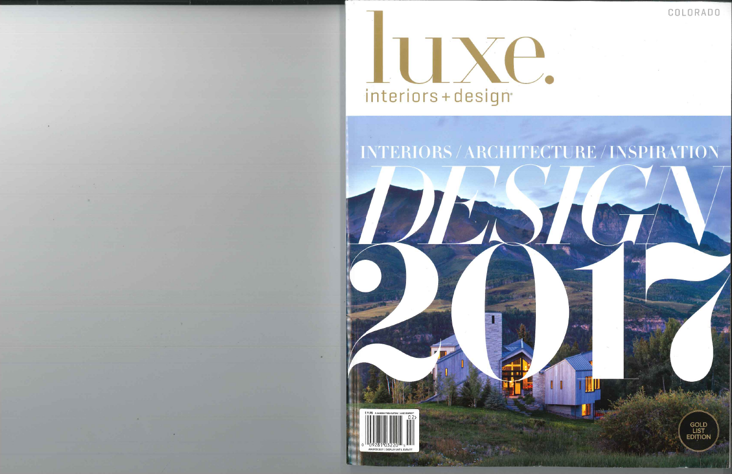COLORADO



## INTERIORS / ARCHITECTURE / INSPIRATION



GOLD<br>LIST<br>EDITION